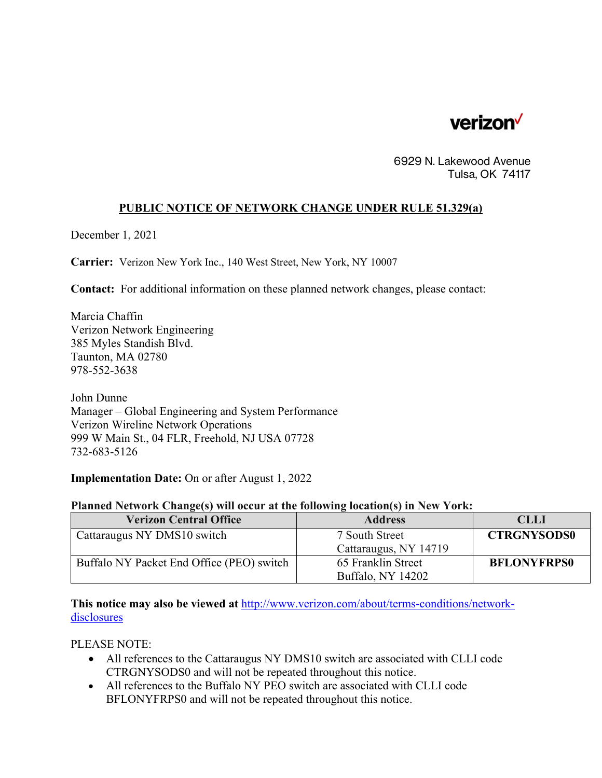

6929 N. Lakewood Avenue Tulsa, OK 74117

## **PUBLIC NOTICE OF NETWORK CHANGE UNDER RULE 51.329(a)**

December 1, 2021

**Carrier:** Verizon New York Inc., 140 West Street, New York, NY 10007

**Contact:** For additional information on these planned network changes, please contact:

Marcia Chaffin Verizon Network Engineering 385 Myles Standish Blvd. Taunton, MA 02780 978-552-3638

John Dunne Manager – Global Engineering and System Performance Verizon Wireline Network Operations 999 W Main St., 04 FLR, Freehold, NJ USA 07728 732-683-5126

**Implementation Date:** On or after August 1, 2022

## **Planned Network Change(s) will occur at the following location(s) in New York:**

| <b>Verizon Central Office</b>             | <b>Address</b>        | CLLI               |
|-------------------------------------------|-----------------------|--------------------|
| Cattaraugus NY DMS10 switch               | 7 South Street        | <b>CTRGNYSODS0</b> |
|                                           | Cattaraugus, NY 14719 |                    |
| Buffalo NY Packet End Office (PEO) switch | 65 Franklin Street    | <b>BFLONYFRPS0</b> |
|                                           | Buffalo, NY 14202     |                    |

**This notice may also be viewed at** http://www.verizon.com/about/terms-conditions/networkdisclosures

PLEASE NOTE:

- All references to the Cattaraugus NY DMS10 switch are associated with CLLI code CTRGNYSODS0 and will not be repeated throughout this notice.
- All references to the Buffalo NY PEO switch are associated with CLLI code BFLONYFRPS0 and will not be repeated throughout this notice.